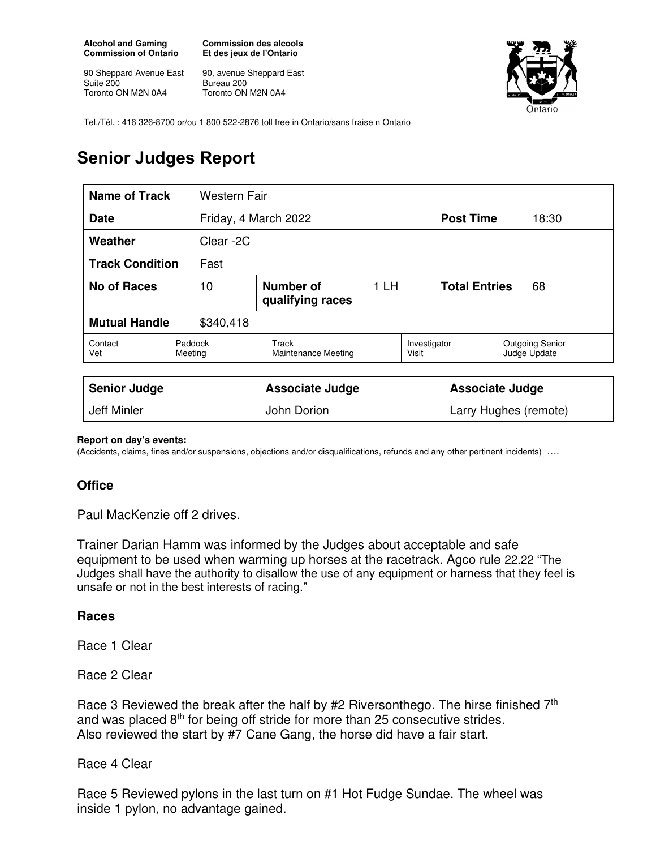**Alcohol and Gaming Commission of Ontario** 

90 Sheppard Avenue East Suite 200 Toronto ON M2N 0A4

**Commission des alcools Et des jeux de l'Ontario** 

90, avenue Sheppard East Bureau 200 Toronto ON M2N 0A4



Tel./Tél. : 416 326-8700 or/ou 1 800 522-2876 toll free in Ontario/sans fraise n Ontario

## **Senior Judges Report**

| Name of Track                       | <b>Western Fair</b> |                               |      |                        |                            |                                        |
|-------------------------------------|---------------------|-------------------------------|------|------------------------|----------------------------|----------------------------------------|
| Friday, 4 March 2022<br><b>Date</b> |                     |                               |      | <b>Post Time</b>       | 18:30                      |                                        |
| Weather                             | Clear -2C           |                               |      |                        |                            |                                        |
| <b>Track Condition</b><br>Fast      |                     |                               |      |                        |                            |                                        |
| No of Races<br>10                   |                     | Number of<br>qualifying races | 1 LH |                        | <b>Total Entries</b><br>68 |                                        |
| <b>Mutual Handle</b><br>\$340,418   |                     |                               |      |                        |                            |                                        |
| Contact<br>Vet                      | Paddock<br>Meeting  | Track<br>Maintenance Meeting  |      | Investigator<br>Visit  |                            | <b>Outgoing Senior</b><br>Judge Update |
|                                     |                     |                               |      |                        |                            |                                        |
| <b>Senior Judge</b>                 |                     | <b>Associate Judge</b>        |      | <b>Associate Judge</b> |                            |                                        |
| Jeff Minler                         |                     | John Dorion                   |      | Larry Hughes (remote)  |                            |                                        |

**Report on day's events:** 

(Accidents, claims, fines and/or suspensions, objections and/or disqualifications, refunds and any other pertinent incidents) ….

## **Office**

Paul MacKenzie off 2 drives.

Trainer Darian Hamm was informed by the Judges about acceptable and safe equipment to be used when warming up horses at the racetrack. Agco rule 22.22 "The Judges shall have the authority to disallow the use of any equipment or harness that they feel is unsafe or not in the best interests of racing."

## **Races**

Race 1 Clear

Race 2 Clear

Race 3 Reviewed the break after the half by #2 Riversonthego. The hirse finished 7<sup>th</sup> and was placed 8<sup>th</sup> for being off stride for more than 25 consecutive strides. Also reviewed the start by #7 Cane Gang, the horse did have a fair start.

Race 4 Clear

Race 5 Reviewed pylons in the last turn on #1 Hot Fudge Sundae. The wheel was inside 1 pylon, no advantage gained.